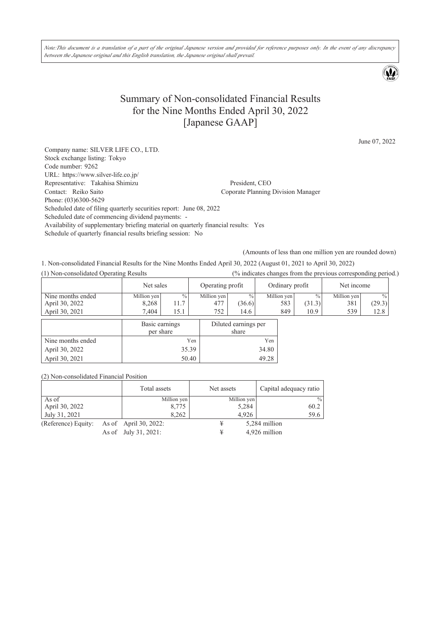Note:This document is a translation of a part of the original Japanese version and provided for reference purposes only. In the event of any discrepancy *between the Japanese original and this English translation, the Japanese original shall prevail.*

# Summary of Non-consolidated Financial Results for the Nine Months Ended April 30, 2022 [Japanese GAAP]

June 07, 2022

Company name: SILVER LIFE CO., LTD. Stock exchange listing: Tokyo Code number: 9262 URL: https://www.silver-life.co.jp/ Representative: Takahisa Shimizu President, CEO<br>
Contact: Reiko Saito Coporate Planning Coporate Planning Division Manager Phone: (03)6300-5629 Scheduled date of filing quarterly securities report: June 08, 2022 Scheduled date of commencing dividend payments: - Availability of supplementary briefing material on quarterly financial results: Yes Schedule of quarterly financial results briefing session: No

(Amounts of less than one million yen are rounded down)

1. Non-consolidated Financial Results for the Nine Months Ended April 30, 2022 (August 01, 2021 to April 30, 2022)

(1) Non-consolidated Operating Results (% indicates changes from the previous corresponding period.)

|                   | Net sales                                  |      | Operating profit |                     | Ordinary profit |               | Net income  |        |
|-------------------|--------------------------------------------|------|------------------|---------------------|-----------------|---------------|-------------|--------|
| Nine months ended | Million yen                                | $\%$ | Million yen      | $\frac{0}{0}$       | Million ven     | $\frac{0}{0}$ | Million yen | $\%$   |
| April 30, 2022    | 8,268                                      | 11.7 | 477              | (36.6)              | 583             | (31.3)        | 381         | (29.3) |
| April 30, 2021    | 7.404                                      | 19.1 | 752              | 14.6                | 849             | 10.9          | 539         | 12.8   |
|                   | $\mathbf{p}_{\text{acio} \text{ aominac}}$ |      |                  | Diluted comings nor |                 |               |             |        |

|                   | Basic earnings<br>per share | Diluted earnings per<br>share |
|-------------------|-----------------------------|-------------------------------|
| Nine months ended | Yen                         | Yen                           |
| April 30, 2022    | 35.39                       | 34.80                         |
| April 30, 2021    | 50.40                       |                               |

(2) Non-consolidated Financial Position

|                     | Total assets          | Net assets  | Capital adequacy ratio |
|---------------------|-----------------------|-------------|------------------------|
| As of               | Million yen           | Million yen | $\frac{0}{0}$          |
| April 30, 2022      | 8,775                 | 5,284       | 60.2                   |
| July 31, 2021       | 8.262                 | 4.926       | 59.6                   |
| (Reference) Equity: | As of April 30, 2022: | ¥           | 5,284 million          |
|                     | As of July 31, 2021:  | ¥           | 4,926 million          |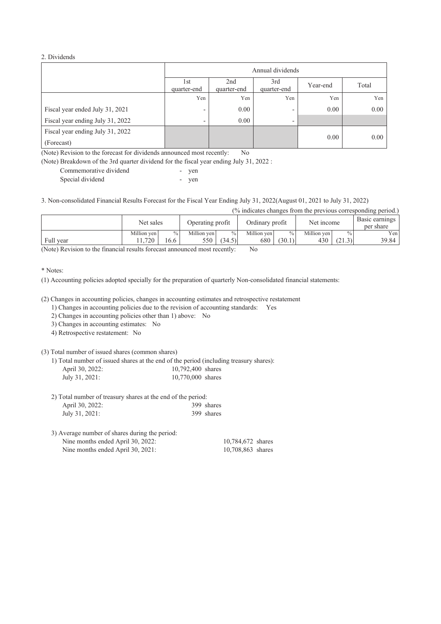#### 2. Dividends

|                                                | Annual dividends                                                           |      |                          |      |       |  |
|------------------------------------------------|----------------------------------------------------------------------------|------|--------------------------|------|-------|--|
|                                                | 2nd<br>3rd<br>1st<br>Year-end<br>quarter-end<br>quarter-end<br>quarter-end |      |                          |      | Total |  |
|                                                | Yen                                                                        | Yen  | Yen                      | Yen  | Yen   |  |
| Fiscal year ended July 31, 2021                | $\overline{\phantom{a}}$                                                   | 0.00 | -                        | 0.00 | 0.00  |  |
| Fiscal year ending July 31, 2022               | $\overline{\phantom{0}}$                                                   | 0.00 | $\overline{\phantom{a}}$ |      |       |  |
| Fiscal year ending July 31, 2022<br>(Forecast) |                                                                            |      |                          | 0.00 | 0.00  |  |

(Note) Revision to the forecast for dividends announced most recently: No

(Note) Breakdown of the 3rd quarter dividend for the fiscal year ending July 31, 2022 :

| Commemorative dividend | ven |
|------------------------|-----|
| Special dividend       | ven |

3. Non-consolidated Financial Results Forecast for the Fiscal Year Ending July 31, 2022(August 01, 2021 to July 31, 2022)

| (% indicates changes from the previous corresponding period.) |             |               |                  |        |                 |               |             |               |                             |
|---------------------------------------------------------------|-------------|---------------|------------------|--------|-----------------|---------------|-------------|---------------|-----------------------------|
|                                                               | Net sales   |               | Operating profit |        | Ordinary profit |               | Net income  |               | Basic earnings<br>per share |
|                                                               | Million ven | $\frac{0}{0}$ | Million ven      | $\%$   | Million ven     | $\frac{0}{0}$ | Million ven | $\frac{0}{0}$ | Yen                         |
| Full year                                                     | .720        | 16.6          | 550              | (34.5) | 680             | (30.1)        | 430         | (21.3)        | 39.84                       |

(Note) Revision to the financial results forecast announced most recently: No

#### \* Notes:

(1) Accounting policies adopted specially for the preparation of quarterly Non-consolidated financial statements:

(2) Changes in accounting policies, changes in accounting estimates and retrospective restatement

1) Changes in accounting policies due to the revision of accounting standards: Yes

- 2) Changes in accounting policies other than 1) above: No
- 3) Changes in accounting estimates: No

4) Retrospective restatement: No

(3) Total number of issued shares (common shares)

1) Total number of issued shares at the end of the period (including treasury shares): 10,792,400 shares

|  | July 31, 2021: | 10,770,000 shares |  |
|--|----------------|-------------------|--|
|--|----------------|-------------------|--|

2) Total number of treasury shares at the end of the period: April 30, 2022: 399 shares July 31, 2021: 399 shares

| 3) Average number of shares during the period: |                   |
|------------------------------------------------|-------------------|
| Nine months ended April 30, 2022:              | 10.784.672 shares |
| Nine months ended April 30, 2021:              | 10,708,863 shares |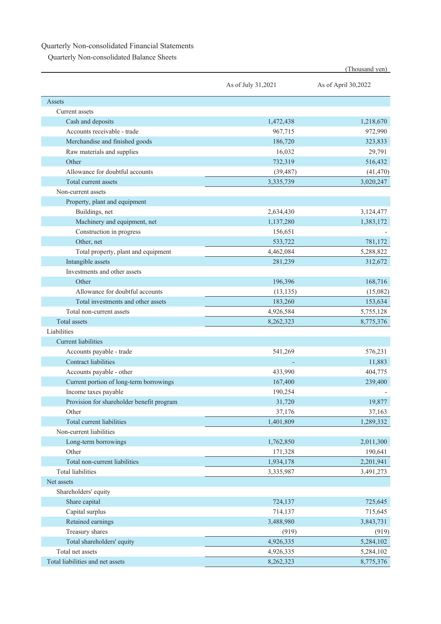### Quarterly Non-consolidated Financial Statements

Quarterly Non-consolidated Balance Sheets

|                                           |                    | (Thousand yen)      |
|-------------------------------------------|--------------------|---------------------|
|                                           | As of July 31,2021 | As of April 30,2022 |
| Assets                                    |                    |                     |
| Current assets                            |                    |                     |
| Cash and deposits                         | 1,472,438          | 1,218,670           |
| Accounts receivable - trade               | 967,715            | 972,990             |
| Merchandise and finished goods            | 186,720            | 323,833             |
| Raw materials and supplies                | 16,032             | 29,791              |
| Other                                     | 732,319            | 516,432             |
| Allowance for doubtful accounts           | (39, 487)          | (41, 470)           |
| Total current assets                      | 3,335,739          | 3,020,247           |
| Non-current assets                        |                    |                     |
| Property, plant and equipment             |                    |                     |
| Buildings, net                            | 2,634,430          | 3,124,477           |
| Machinery and equipment, net              | 1,137,280          | 1,383,172           |
| Construction in progress                  | 156,651            |                     |
| Other, net                                | 533,722            | 781,172             |
| Total property, plant and equipment       | 4,462,084          | 5,288,822           |
| Intangible assets                         | 281,239            | 312,672             |
| Investments and other assets              |                    |                     |
| Other                                     | 196,396            | 168,716             |
| Allowance for doubtful accounts           | (13, 135)          | (15,082)            |
| Total investments and other assets        | 183,260            | 153,634             |
| Total non-current assets                  | 4,926,584          | 5,755,128           |
| <b>Total</b> assets                       | 8,262,323          | 8,775,376           |
| Liabilities                               |                    |                     |
| <b>Current liabilities</b>                |                    |                     |
| Accounts payable - trade                  | 541,269            | 576,231             |
| <b>Contract liabilities</b>               |                    | 11,883              |
| Accounts payable - other                  | 433,990            | 404,775             |
| Current portion of long-term borrowings   | 167,400            | 239,400             |
| Income taxes payable                      | 190,254            |                     |
| Provision for shareholder benefit program | 31,720             | 19,877              |
| Other                                     | 37,176             | 37,163              |
| Total current liabilities                 | 1,401,809          | 1,289,332           |
| Non-current liabilities                   |                    |                     |
| Long-term borrowings                      | 1,762,850          | 2,011,300           |
| Other                                     | 171,328            | 190,641             |
| Total non-current liabilities             | 1,934,178          | 2,201,941           |
| <b>Total liabilities</b>                  | 3,335,987          | 3,491,273           |
| Net assets                                |                    |                     |
| Shareholders' equity                      |                    |                     |
| Share capital                             | 724,137            | 725,645             |
| Capital surplus                           | 714,137            | 715,645             |
| Retained earnings                         | 3,488,980          | 3,843,731           |
| Treasury shares                           | (919)              | (919)               |
| Total shareholders' equity                | 4,926,335          | 5,284,102           |
| Total net assets                          | 4,926,335          | 5,284,102           |
| Total liabilities and net assets          | 8,262,323          | 8,775,376           |